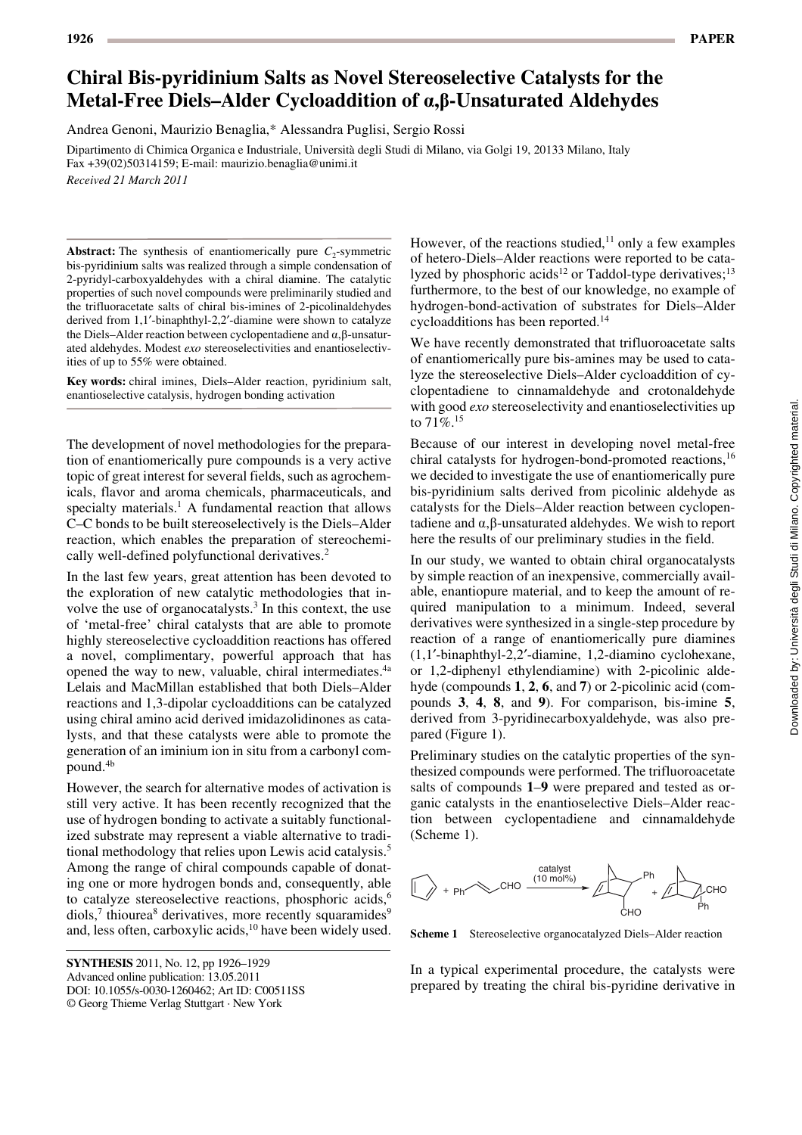# **Chiral Bis-pyridinium Salts as Novel Stereoselective Catalysts for the Metal-Free Diels–Alder Cycloaddition of a,b-Unsaturated Aldehydes**

Andrea Genoni, Maurizio Benaglia,\* Alessandra Puglisi, Sergio Rossi

Dipartimento di Chimica Organica e Industriale, Università degli Studi di Milano, via Golgi 19, 20133 Milano, Italy Fax +39(02)50314159; E-mail: maurizio.benaglia@unimi.it *Received 21 March 2011*

**Abstract:** The synthesis of enantiomerically pure  $C_2$ -symmetric bis-pyridinium salts was realized through a simple condensation of 2-pyridyl-carboxyaldehydes with a chiral diamine. The catalytic properties of such novel compounds were preliminarily studied and the trifluoracetate salts of chiral bis-imines of 2-picolinaldehydes derived from 1,1'-binaphthyl-2,2'-diamine were shown to catalyze the Diels–Alder reaction between cyclopentadiene and  $\alpha$ ,  $\beta$ -unsaturated aldehydes. Modest *exo* stereoselectivities and enantioselectivities of up to 55% were obtained.

**Key words:** chiral imines, Diels–Alder reaction, pyridinium salt, enantioselective catalysis, hydrogen bonding activation

The development of novel methodologies for the preparation of enantiomerically pure compounds is a very active topic of great interest for several fields, such as agrochemicals, flavor and aroma chemicals, pharmaceuticals, and specialty materials.<sup>1</sup> A fundamental reaction that allows C–C bonds to be built stereoselectively is the Diels–Alder reaction, which enables the preparation of stereochemically well-defined polyfunctional derivatives.<sup>2</sup>

In the last few years, great attention has been devoted to the exploration of new catalytic methodologies that involve the use of organocatalysts. $3$  In this context, the use of 'metal-free' chiral catalysts that are able to promote highly stereoselective cycloaddition reactions has offered a novel, complimentary, powerful approach that has opened the way to new, valuable, chiral intermediates.<sup>4a</sup> Lelais and MacMillan established that both Diels–Alder reactions and 1,3-dipolar cycloadditions can be catalyzed using chiral amino acid derived imidazolidinones as catalysts, and that these catalysts were able to promote the generation of an iminium ion in situ from a carbonyl compound.4b

However, the search for alternative modes of activation is still very active. It has been recently recognized that the use of hydrogen bonding to activate a suitably functionalized substrate may represent a viable alternative to traditional methodology that relies upon Lewis acid catalysis.5 Among the range of chiral compounds capable of donating one or more hydrogen bonds and, consequently, able to catalyze stereoselective reactions, phosphoric acids,<sup>6</sup> diols,<sup>7</sup> thiourea<sup>8</sup> derivatives, more recently squaramides<sup>9</sup> and, less often, carboxylic acids,<sup>10</sup> have been widely used. However, of the reactions studied, $11$  only a few examples of hetero-Diels–Alder reactions were reported to be catalyzed by phosphoric acids<sup>12</sup> or Taddol-type derivatives;<sup>13</sup> furthermore, to the best of our knowledge, no example of hydrogen-bond-activation of substrates for Diels–Alder cycloadditions has been reported.14

We have recently demonstrated that trifluoroacetate salts of enantiomerically pure bis-amines may be used to catalyze the stereoselective Diels–Alder cycloaddition of cyclopentadiene to cinnamaldehyde and crotonaldehyde with good *exo* stereoselectivity and enantioselectivities up to  $71\%$ <sup>15</sup>

Because of our interest in developing novel metal-free chiral catalysts for hydrogen-bond-promoted reactions,<sup>16</sup> we decided to investigate the use of enantiomerically pure bis-pyridinium salts derived from picolinic aldehyde as catalysts for the Diels–Alder reaction between cyclopentadiene and  $\alpha$ , $\beta$ -unsaturated aldehydes. We wish to report here the results of our preliminary studies in the field.

In our study, we wanted to obtain chiral organocatalysts by simple reaction of an inexpensive, commercially available, enantiopure material, and to keep the amount of required manipulation to a minimum. Indeed, several derivatives were synthesized in a single-step procedure by reaction of a range of enantiomerically pure diamines (1,1¢-binaphthyl-2,2¢-diamine, 1,2-diamino cyclohexane, or 1,2-diphenyl ethylendiamine) with 2-picolinic aldehyde (compounds **1**, **2**, **6**, and **7**) or 2-picolinic acid (compounds **3**, **4**, **8**, and **9**). For comparison, bis-imine **5**, derived from 3-pyridinecarboxyaldehyde, was also prepared (Figure 1).

Preliminary studies on the catalytic properties of the synthesized compounds were performed. The trifluoroacetate salts of compounds **1**–**9** were prepared and tested as organic catalysts in the enantioselective Diels–Alder reaction between cyclopentadiene and cinnamaldehyde (Scheme 1).



**Scheme 1** Stereoselective organocatalyzed Diels–Alder reaction

In a typical experimental procedure, the catalysts were prepared by treating the chiral bis-pyridine derivative in

**SYNTHESIS** 2011, No. 12, pp 1926-1929 Advanced online publication: 13.05.2011 DOI: 10.1055/s-0030-1260462; Art ID: C00511SS © Georg Thieme Verlag Stuttgart · New York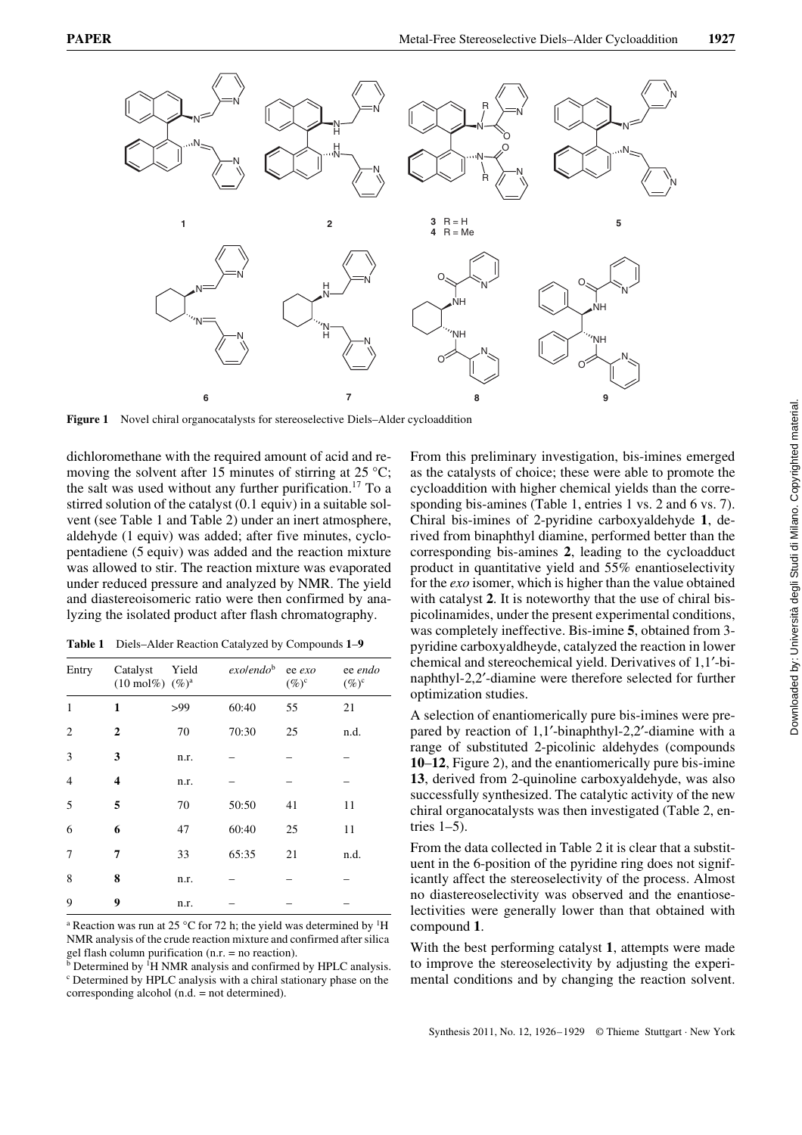

**Figure 1** Novel chiral organocatalysts for stereoselective Diels–Alder cycloaddition

dichloromethane with the required amount of acid and removing the solvent after 15 minutes of stirring at 25  $^{\circ}$ C; the salt was used without any further purification.17 To a stirred solution of the catalyst (0.1 equiv) in a suitable solvent (see Table 1 and Table 2) under an inert atmosphere, aldehyde (1 equiv) was added; after five minutes, cyclopentadiene (5 equiv) was added and the reaction mixture was allowed to stir. The reaction mixture was evaporated under reduced pressure and analyzed by NMR. The yield and diastereoisomeric ratio were then confirmed by analyzing the isolated product after flash chromatography.

**Table 1** Diels–Alder Reaction Catalyzed by Compounds **1**–**9**

| Entry          | Catalyst<br>$(10 \text{ mol\%})$ $(\%)^a$ | Yield | exolen do <sup>b</sup> | ee exo<br>$(\%)^c$ | ee endo<br>$(\%)^c$ |
|----------------|-------------------------------------------|-------|------------------------|--------------------|---------------------|
| 1              | $\mathbf{1}$                              | >99   | 60:40                  | 55                 | 21                  |
| $\overline{c}$ | $\overline{2}$                            | 70    | 70:30                  | 25                 | n.d.                |
| 3              | 3                                         | n.r.  |                        |                    |                     |
| $\overline{4}$ | 4                                         | n.r.  |                        |                    |                     |
| 5              | 5                                         | 70    | 50:50                  | 41                 | 11                  |
| 6              | 6                                         | 47    | 60:40                  | 25                 | 11                  |
| 7              | 7                                         | 33    | 65:35                  | 21                 | n.d.                |
| 8              | 8                                         | n.r.  |                        |                    |                     |
| 9              | 9                                         | n.r.  |                        |                    |                     |

<sup>a</sup> Reaction was run at 25 °C for 72 h; the yield was determined by <sup>1</sup>H NMR analysis of the crude reaction mixture and confirmed after silica

gel flash column purification (n.r. = no reaction).<br><sup>b</sup> Determined by <sup>1</sup>H NMR analysis and confirmed by HPLC analysis. c Determined by HPLC analysis with a chiral stationary phase on the corresponding alcohol (n.d. = not determined).

From this preliminary investigation, bis-imines emerged as the catalysts of choice; these were able to promote the cycloaddition with higher chemical yields than the corresponding bis-amines (Table 1, entries 1 vs. 2 and 6 vs. 7). Chiral bis-imines of 2-pyridine carboxyaldehyde **1**, derived from binaphthyl diamine, performed better than the corresponding bis-amines **2**, leading to the cycloadduct product in quantitative yield and 55% enantioselectivity for the *exo* isomer, which is higher than the value obtained with catalyst **2**. It is noteworthy that the use of chiral bispicolinamides, under the present experimental conditions, was completely ineffective. Bis-imine **5**, obtained from 3 pyridine carboxyaldheyde, catalyzed the reaction in lower chemical and stereochemical yield. Derivatives of 1,1'-binaphthyl-2,2¢-diamine were therefore selected for further optimization studies.

A selection of enantiomerically pure bis-imines were prepared by reaction of  $1,1'$ -binaphthyl-2,2'-diamine with a range of substituted 2-picolinic aldehydes (compounds **10**–**12**, Figure 2), and the enantiomerically pure bis-imine **13**, derived from 2-quinoline carboxyaldehyde, was also successfully synthesized. The catalytic activity of the new chiral organocatalysts was then investigated (Table 2, entries  $1-5$ ).

From the data collected in Table 2 it is clear that a substituent in the 6-position of the pyridine ring does not significantly affect the stereoselectivity of the process. Almost no diastereoselectivity was observed and the enantioselectivities were generally lower than that obtained with compound **1**.

With the best performing catalyst **1**, attempts were made to improve the stereoselectivity by adjusting the experimental conditions and by changing the reaction solvent.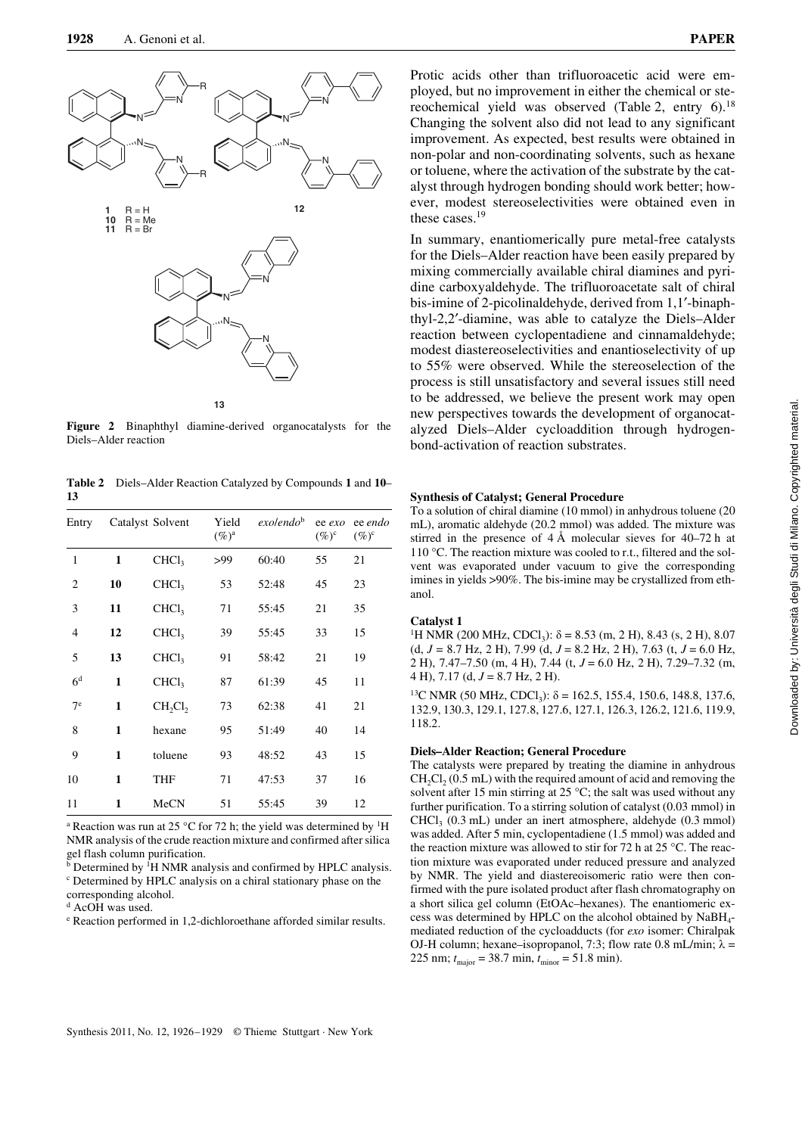

**Figure 2** Binaphthyl diamine-derived organocatalysts for the Diels–Alder reaction

**Table 2** Diels–Alder Reaction Catalyzed by Compounds **1** and **10**– **13**

| Entry          |              | Catalyst Solvent  | Yield<br>$(\%)^{\mathrm{a}}$ | exolen do <sup>b</sup> | ee exo<br>$(\%)^c$ | ee endo<br>$(\%)^c$ |
|----------------|--------------|-------------------|------------------------------|------------------------|--------------------|---------------------|
| 1              | $\mathbf{1}$ | CHCl <sub>3</sub> | >99                          | 60:40                  | 55                 | 21                  |
| $\overline{c}$ | 10           | CHCl <sub>3</sub> | 53                           | 52:48                  | 45                 | 23                  |
| 3              | 11           | CHCl <sub>3</sub> | 71                           | 55:45                  | 21                 | 35                  |
| 4              | 12           | CHCl <sub>3</sub> | 39                           | 55:45                  | 33                 | 15                  |
| 5              | 13           | CHCl <sub>3</sub> | 91                           | 58:42                  | 21                 | 19                  |
| 6 <sup>d</sup> | $\mathbf{1}$ | CHCl <sub>3</sub> | 87                           | 61:39                  | 45                 | 11                  |
| 7 <sup>e</sup> | 1            | CH,Cl,            | 73                           | 62:38                  | 41                 | 21                  |
| 8              | $\mathbf{1}$ | hexane            | 95                           | 51:49                  | 40                 | 14                  |
| 9              | $\mathbf{1}$ | toluene           | 93                           | 48:52                  | 43                 | 15                  |
| 10             | 1            | <b>THF</b>        | 71                           | 47:53                  | 37                 | 16                  |
| 11             | 1            | MeCN              | 51                           | 55:45                  | 39                 | 12                  |

<sup>a</sup> Reaction was run at 25 °C for 72 h; the yield was determined by <sup>1</sup>H NMR analysis of the crude reaction mixture and confirmed after silica gel flash column purification.

<sup>b</sup> Determined by <sup>1</sup>H NMR analysis and confirmed by HPLC analysis. c Determined by HPLC analysis on a chiral stationary phase on the

corresponding alcohol. d AcOH was used.

<sup>e</sup> Reaction performed in 1,2-dichloroethane afforded similar results.

Protic acids other than trifluoroacetic acid were employed, but no improvement in either the chemical or stereochemical yield was observed (Table 2, entry  $6$ ).<sup>18</sup> Changing the solvent also did not lead to any significant improvement. As expected, best results were obtained in non-polar and non-coordinating solvents, such as hexane or toluene, where the activation of the substrate by the catalyst through hydrogen bonding should work better; however, modest stereoselectivities were obtained even in these cases.19

In summary, enantiomerically pure metal-free catalysts for the Diels–Alder reaction have been easily prepared by mixing commercially available chiral diamines and pyridine carboxyaldehyde. The trifluoroacetate salt of chiral bis-imine of 2-picolinaldehyde, derived from 1,1'-binaphthyl-2,2¢-diamine, was able to catalyze the Diels–Alder reaction between cyclopentadiene and cinnamaldehyde; modest diastereoselectivities and enantioselectivity of up to 55% were observed. While the stereoselection of the process is still unsatisfactory and several issues still need to be addressed, we believe the present work may open new perspectives towards the development of organocatalyzed Diels–Alder cycloaddition through hydrogenbond-activation of reaction substrates.

#### **Synthesis of Catalyst; General Procedure**

To a solution of chiral diamine (10 mmol) in anhydrous toluene (20 mL), aromatic aldehyde (20.2 mmol) was added. The mixture was stirred in the presence of 4 Å molecular sieves for 40–72 h at 110 °C. The reaction mixture was cooled to r.t., filtered and the solvent was evaporated under vacuum to give the corresponding imines in yields >90%. The bis-imine may be crystallized from ethanol.

#### **Catalyst 1**

<sup>1</sup>H NMR (200 MHz, CDCl<sub>3</sub>):  $\delta$  = 8.53 (m, 2 H), 8.43 (s, 2 H), 8.07 (d, *J* = 8.7 Hz, 2 H), 7.99 (d, *J* = 8.2 Hz, 2 H), 7.63 (t, *J* = 6.0 Hz, 2 H), 7.47–7.50 (m, 4 H), 7.44 (t, *J* = 6.0 Hz, 2 H), 7.29–7.32 (m, 4 H), 7.17 (d, *J* = 8.7 Hz, 2 H).

<sup>13</sup>C NMR (50 MHz, CDCl<sub>3</sub>):  $\delta$  = 162.5, 155.4, 150.6, 148.8, 137.6, 132.9, 130.3, 129.1, 127.8, 127.6, 127.1, 126.3, 126.2, 121.6, 119.9, 118.2.

#### **Diels–Alder Reaction; General Procedure**

The catalysts were prepared by treating the diamine in anhydrous  $CH_2Cl_2 (0.5 mL)$  with the required amount of acid and removing the solvent after 15 min stirring at 25  $\degree$ C; the salt was used without any further purification. To a stirring solution of catalyst (0.03 mmol) in CHCl3 (0.3 mL) under an inert atmosphere, aldehyde (0.3 mmol) was added. After 5 min, cyclopentadiene (1.5 mmol) was added and the reaction mixture was allowed to stir for 72 h at 25 °C. The reaction mixture was evaporated under reduced pressure and analyzed by NMR. The yield and diastereoisomeric ratio were then confirmed with the pure isolated product after flash chromatography on a short silica gel column (EtOAc–hexanes). The enantiomeric excess was determined by HPLC on the alcohol obtained by NaBH4 mediated reduction of the cycloadducts (for *exo* isomer: Chiralpak OJ-H column; hexane–isopropanol, 7:3; flow rate 0.8 mL/min;  $\lambda$  = 225 nm;  $t_{\text{major}} = 38.7 \text{ min}, t_{\text{minor}} = 51.8 \text{ min}.$